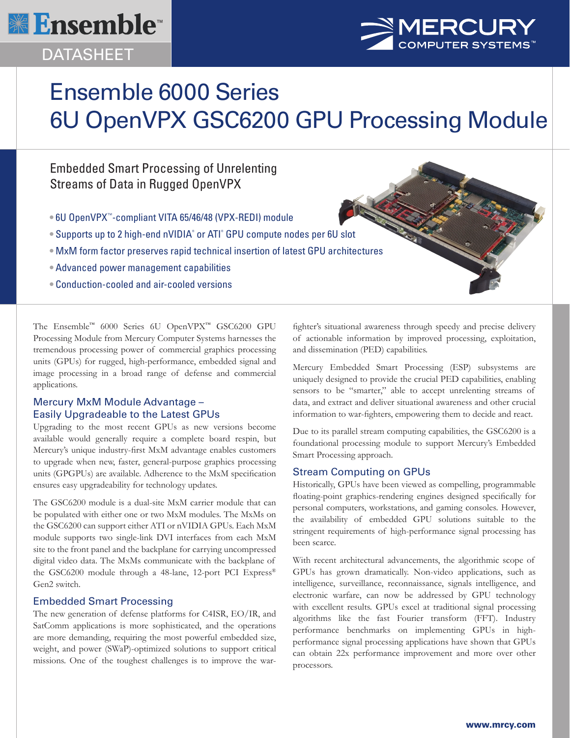

## DATASHEET



# Ensemble 6000 Series 6U OpenVPX GSC6200 GPU Processing Module

### Embedded Smart Processing of Unrelenting Streams of Data in Rugged OpenVPX

- 6U OpenVPX™-compliant VITA 65/46/48 (VPX-REDI) module
- Supports up to 2 high-end nVIDIA® or ATI® GPU compute nodes per 6U slot
- MxM form factor preserves rapid technical insertion of latest GPU architectures
- Advanced power management capabilities
- Conduction-cooled and air-cooled versions

The Ensemble™ 6000 Series 6U OpenVPX™ GSC6200 GPU Processing Module from Mercury Computer Systems harnesses the tremendous processing power of commercial graphics processing units (GPUs) for rugged, high-performance, embedded signal and image processing in a broad range of defense and commercial applications.

#### Mercury MxM Module Advantage – Easily Upgradeable to the Latest GPUs

Upgrading to the most recent GPUs as new versions become available would generally require a complete board respin, but Mercury's unique industry-first MxM advantage enables customers to upgrade when new, faster, general-purpose graphics processing units (GPGPUs) are available. Adherence to the MxM specification ensures easy upgradeability for technology updates.

The GSC6200 module is a dual-site MxM carrier module that can be populated with either one or two MxM modules. The MxMs on the GSC6200 can support either ATI or nVIDIA GPUs. Each MxM module supports two single-link DVI interfaces from each MxM site to the front panel and the backplane for carrying uncompressed digital video data. The MxMs communicate with the backplane of the GSC6200 module through a 48-lane, 12-port PCI Express® Gen2 switch.

#### Embedded Smart Processing

The new generation of defense platforms for C4ISR, EO/IR, and SatComm applications is more sophisticated, and the operations are more demanding, requiring the most powerful embedded size, weight, and power (SWaP)-optimized solutions to support critical missions. One of the toughest challenges is to improve the warfighter's situational awareness through speedy and precise delivery of actionable information by improved processing, exploitation, and dissemination (PED) capabilities.

Mercury Embedded Smart Processing (ESP) subsystems are uniquely designed to provide the crucial PED capabilities, enabling sensors to be "smarter," able to accept unrelenting streams of data, and extract and deliver situational awareness and other crucial information to war-fighters, empowering them to decide and react.

Due to its parallel stream computing capabilities, the GSC6200 is a foundational processing module to support Mercury's Embedded Smart Processing approach.

#### Stream Computing on GPUs

Historically, GPUs have been viewed as compelling, programmable floating-point graphics-rendering engines designed specifically for personal computers, workstations, and gaming consoles. However, the availability of embedded GPU solutions suitable to the stringent requirements of high-performance signal processing has been scarce.

With recent architectural advancements, the algorithmic scope of GPUs has grown dramatically. Non-video applications, such as intelligence, surveillance, reconnaissance, signals intelligence, and electronic warfare, can now be addressed by GPU technology with excellent results. GPUs excel at traditional signal processing algorithms like the fast Fourier transform (FFT). Industry performance benchmarks on implementing GPUs in highperformance signal processing applications have shown that GPUs can obtain 22x performance improvement and more over other processors.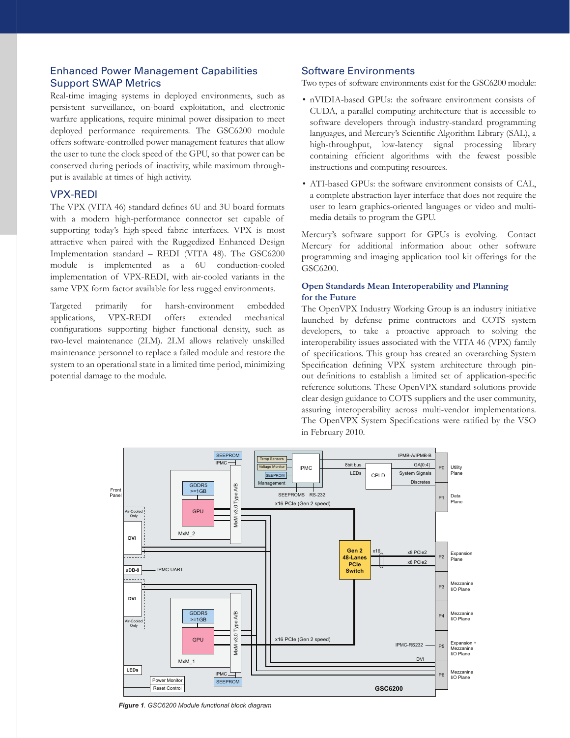#### Enhanced Power Management Capabilities Support SWAP Metrics

Real-time imaging systems in deployed environments, such as persistent surveillance, on-board exploitation, and electronic warfare applications, require minimal power dissipation to meet deployed performance requirements. The GSC6200 module offers software-controlled power management features that allow the user to tune the clock speed of the GPU, so that power can be conserved during periods of inactivity, while maximum throughput is available at times of high activity.

#### VPX-REDI

The VPX (VITA 46) standard defines 6U and 3U board formats with a modern high-performance connector set capable of supporting today's high-speed fabric interfaces. VPX is most attractive when paired with the Ruggedized Enhanced Design Implementation standard – REDI (VITA 48). The GSC6200 module is implemented as a 6U conduction-cooled implementation of VPX-REDI, with air-cooled variants in the same VPX form factor available for less rugged environments.

Targeted primarily for harsh-environment embedded applications, VPX-REDI offers extended mechanical configurations supporting higher functional density, such as two-level maintenance (2LM). 2LM allows relatively unskilled maintenance personnel to replace a failed module and restore the system to an operational state in a limited time period, minimizing potential damage to the module.

#### Software Environments

Two types of software environments exist for the GSC6200 module:

- nVIDIA-based GPUs: the software environment consists of CUDA, a parallel computing architecture that is accessible to software developers through industry-standard programming languages, and Mercury's Scientific Algorithm Library (SAL), a high-throughput, low-latency signal processing library containing efficient algorithms with the fewest possible instructions and computing resources.
- ATI-based GPUs: the software environment consists of CAL, a complete abstraction layer interface that does not require the user to learn graphics-oriented languages or video and multimedia details to program the GPU.

Mercury's software support for GPUs is evolving. Contact Mercury for additional information about other software programming and imaging application tool kit offerings for the GSC6200.

#### **Open Standards Mean Interoperability and Planning for the Future**

The OpenVPX Industry Working Group is an industry initiative launched by defense prime contractors and COTS system developers, to take a proactive approach to solving the interoperability issues associated with the VITA 46 (VPX) family of specifications. This group has created an overarching System Specification defining VPX system architecture through pinout definitions to establish a limited set of application-specific reference solutions. These OpenVPX standard solutions provide clear design guidance to COTS suppliers and the user community, assuring interoperability across multi-vendor implementations. The OpenVPX System Specifications were ratified by the VSO in February 2010.



*Figure 1. GSC6200 Module functional block diagram*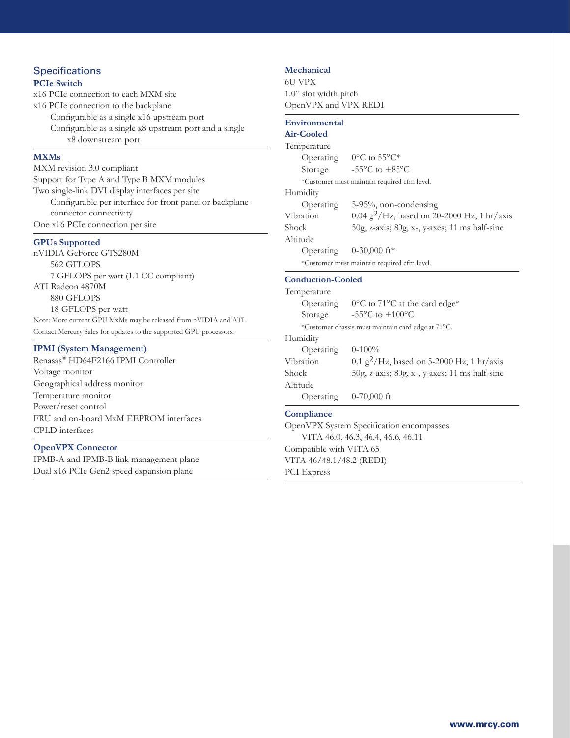## **Specifications**

#### **PCIe Switch**

x16 PCIe connection to each MXM site x16 PCIe connection to the backplane Configurable as a single x16 upstream port Configurable as a single x8 upstream port and a single x8 downstream port

#### **MXMs**

MXM revision 3.0 compliant Support for Type A and Type B MXM modules Two single-link DVI display interfaces per site Configurable per interface for front panel or backplane connector connectivity One x16 PCIe connection per site

#### **GPUs Supported**

nVIDIA GeForce GTS280M 562 GFLOPS 7 GFLOPS per watt (1.1 CC compliant) ATI Radeon 4870M 880 GFLOPS 18 GFLOPS per watt Note: More current GPU MxMs may be released from nVIDIA and ATI. Contact Mercury Sales for updates to the supported GPU processors.

#### **IPMI (System Management)**

Renasas® HD64F2166 IPMI Controller Voltage monitor Geographical address monitor Temperature monitor Power/reset control FRU and on-board MxM EEPROM interfaces CPLD interfaces

#### **OpenVPX Connector**

IPMB-A and IPMB-B link management plane Dual x16 PCIe Gen2 speed expansion plane

#### **Mechanical**

6U VPX 1.0" slot width pitch OpenVPX and VPX REDI

#### **Environmental**

| <b>Air-Cooled</b>                           |                                                |
|---------------------------------------------|------------------------------------------------|
| Temperature                                 |                                                |
|                                             | Operating $0^{\circ}$ C to 55°C*               |
| Storage                                     | $-55^{\circ}$ C to $+85^{\circ}$ C             |
| *Customer must maintain required cfm level. |                                                |
| Humidity                                    |                                                |
| Operating                                   | 5-95%, non-condensing                          |
| Vibration                                   | 0.04 $g^2$ /Hz, based on 20-2000 Hz, 1 hr/axis |
| Shock                                       | 50g, z-axis; 80g, x-, y-axes; 11 ms half-sine  |
| Altitude                                    |                                                |
| Operating $0-30,000$ ft*                    |                                                |
| *Customer must maintain required cfm level. |                                                |
|                                             |                                                |

#### **Conduction-Cooled**

| Temperature                                        |                                                       |
|----------------------------------------------------|-------------------------------------------------------|
| Operating                                          | 0°C to 71°C at the card edge*                         |
| Storage                                            | -55 $\mathrm{^{\circ}C}$ to +100 $\mathrm{^{\circ}C}$ |
| *Customer chassis must maintain card edge at 71°C. |                                                       |
| Humidity                                           |                                                       |
| Operating                                          | $0-100\%$                                             |
| Vibration                                          | 0.1 g <sup>2</sup> /Hz, based on 5-2000 Hz, 1 hr/axis |
| Shock                                              | 50g, z-axis; 80g, x-, y-axes; 11 ms half-sine         |
| Altitude                                           |                                                       |
| Operating                                          | $0-70,000$ ft                                         |

#### **Compliance**

OpenVPX System Specification encompasses VITA 46.0, 46.3, 46.4, 46.6, 46.11 Compatible with VITA 65 VITA 46/48.1/48.2 (REDI) PCI Express